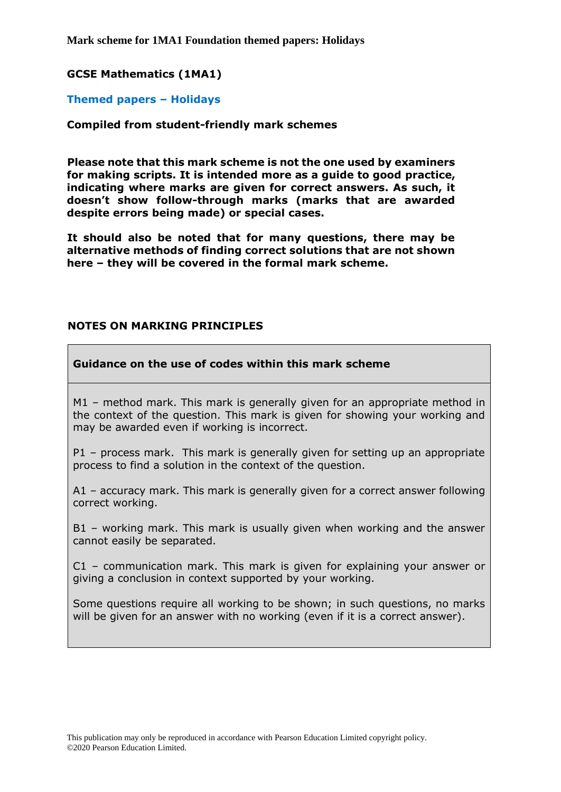**Mark scheme for 1MA1 Foundation themed papers: Holidays**

### **GCSE Mathematics (1MA1)**

#### **Themed papers – Holidays**

#### **Compiled from student-friendly mark schemes**

**Please note that this mark scheme is not the one used by examiners for making scripts. It is intended more as a guide to good practice, indicating where marks are given for correct answers. As such, it doesn't show follow-through marks (marks that are awarded despite errors being made) or special cases.**

**It should also be noted that for many questions, there may be alternative methods of finding correct solutions that are not shown here – they will be covered in the formal mark scheme.**

#### **NOTES ON MARKING PRINCIPLES**

#### **Guidance on the use of codes within this mark scheme**

M1 – method mark. This mark is generally given for an appropriate method in the context of the question. This mark is given for showing your working and may be awarded even if working is incorrect.

P1 – process mark. This mark is generally given for setting up an appropriate process to find a solution in the context of the question.

A1 – accuracy mark. This mark is generally given for a correct answer following correct working.

B1 – working mark. This mark is usually given when working and the answer cannot easily be separated.

C1 – communication mark. This mark is given for explaining your answer or giving a conclusion in context supported by your working.

Some questions require all working to be shown; in such questions, no marks will be given for an answer with no working (even if it is a correct answer).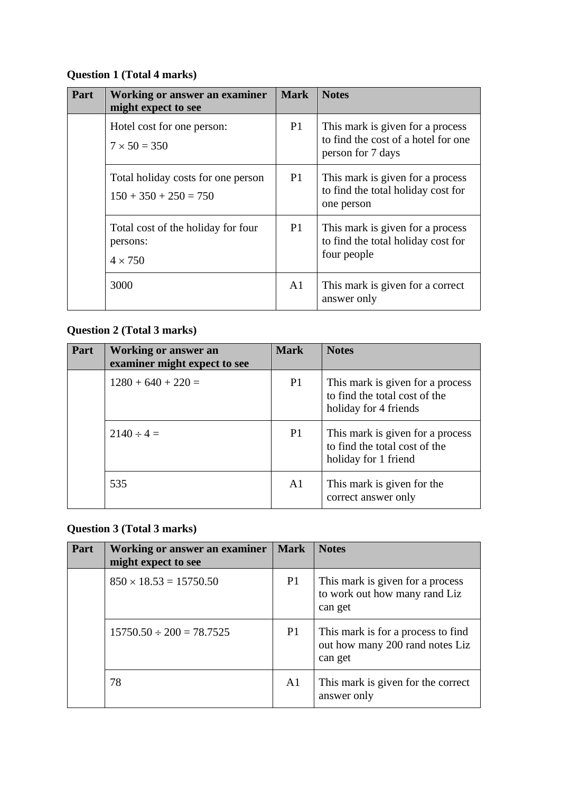## **Question 1 (Total 4 marks)**

| Part | <b>Working or answer an examiner</b><br>might expect to see      | <b>Mark</b>    | <b>Notes</b>                                                                                 |
|------|------------------------------------------------------------------|----------------|----------------------------------------------------------------------------------------------|
|      | Hotel cost for one person:<br>$7 \times 50 = 350$                | P <sub>1</sub> | This mark is given for a process<br>to find the cost of a hotel for one<br>person for 7 days |
|      | Total holiday costs for one person<br>$150 + 350 + 250 = 750$    | <b>P</b> 1     | This mark is given for a process<br>to find the total holiday cost for<br>one person         |
|      | Total cost of the holiday for four<br>persons:<br>$4 \times 750$ | P <sub>1</sub> | This mark is given for a process<br>to find the total holiday cost for<br>four people        |
|      | 3000                                                             | A1             | This mark is given for a correct<br>answer only                                              |

# **Question 2 (Total 3 marks)**

| Part | Working or answer an<br>examiner might expect to see | <b>Mark</b>    | <b>Notes</b>                                                                               |
|------|------------------------------------------------------|----------------|--------------------------------------------------------------------------------------------|
|      | $1280 + 640 + 220 =$                                 | P1             | This mark is given for a process<br>to find the total cost of the<br>holiday for 4 friends |
|      | $2140 \div 4 =$                                      | <b>P1</b>      | This mark is given for a process<br>to find the total cost of the<br>holiday for 1 friend  |
|      | 535                                                  | A <sub>1</sub> | This mark is given for the<br>correct answer only                                          |

### **Question 3 (Total 3 marks)**

| Part | <b>Working or answer an examiner</b><br>might expect to see | <b>Mark</b>    | <b>Notes</b>                                                                     |
|------|-------------------------------------------------------------|----------------|----------------------------------------------------------------------------------|
|      | $850 \times 18.53 = 15750.50$                               | P <sub>1</sub> | This mark is given for a process<br>to work out how many rand Liz<br>can get     |
|      | $15750.50 \div 200 = 78.7525$                               | P <sub>1</sub> | This mark is for a process to find<br>out how many 200 rand notes Liz<br>can get |
|      | 78                                                          | A <sub>1</sub> | This mark is given for the correct<br>answer only                                |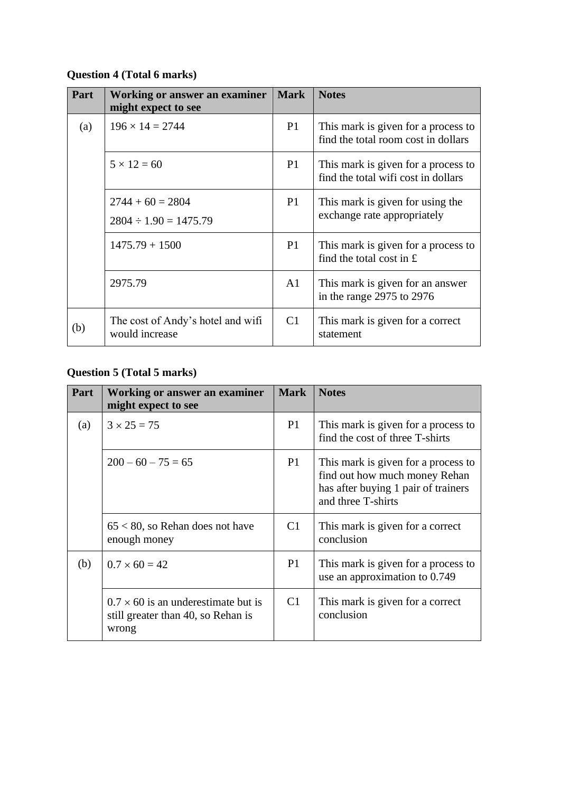## **Question 4 (Total 6 marks)**

| Part | Working or answer an examiner<br>might expect to see | <b>Mark</b>    | <b>Notes</b>                                                                     |
|------|------------------------------------------------------|----------------|----------------------------------------------------------------------------------|
| (a)  | $196 \times 14 = 2744$                               | <b>P1</b>      | This mark is given for a process to<br>find the total room cost in dollars       |
|      | $5 \times 12 = 60$                                   | P1             | This mark is given for a process to<br>find the total wifi cost in dollars       |
|      | $2744 + 60 = 2804$<br>$2804 \div 1.90 = 1475.79$     | P <sub>1</sub> | This mark is given for using the<br>exchange rate appropriately                  |
|      | $1475.79 + 1500$                                     | P <sub>1</sub> | This mark is given for a process to<br>find the total cost in $\hat{\mathbf{f}}$ |
|      | 2975.79                                              | A1             | This mark is given for an answer<br>in the range $2975$ to $2976$                |
| (b)  | The cost of Andy's hotel and wifi<br>would increase  | C1             | This mark is given for a correct<br>statement                                    |

# **Question 5 (Total 5 marks)**

| Part | Working or answer an examiner<br>might expect to see                                      | <b>Mark</b>    | <b>Notes</b>                                                                                                                      |
|------|-------------------------------------------------------------------------------------------|----------------|-----------------------------------------------------------------------------------------------------------------------------------|
| (a)  | $3 \times 25 = 75$                                                                        | <b>P1</b>      | This mark is given for a process to<br>find the cost of three T-shirts                                                            |
|      | $200 - 60 - 75 = 65$                                                                      | P <sub>1</sub> | This mark is given for a process to<br>find out how much money Rehan<br>has after buying 1 pair of trainers<br>and three T-shirts |
|      | $65 < 80$ , so Rehan does not have<br>enough money                                        | C1             | This mark is given for a correct<br>conclusion                                                                                    |
| (b)  | $0.7 \times 60 = 42$                                                                      | P <sub>1</sub> | This mark is given for a process to<br>use an approximation to 0.749                                                              |
|      | $0.7 \times 60$ is an underestimate but is<br>still greater than 40, so Rehan is<br>wrong | C1             | This mark is given for a correct<br>conclusion                                                                                    |